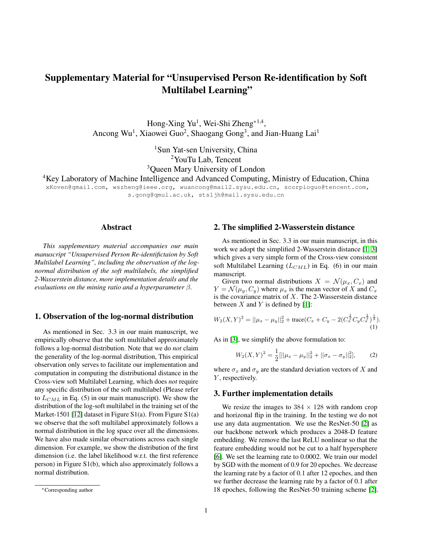# Supplementary Material for "Unsupervised Person Re-identification by Soft Multilabel Learning"

Hong-Xing Yu<sup>1</sup>, Wei-Shi Zheng<sup>\*1,4</sup>, Ancong Wu<sup>1</sup>, Xiaowei Guo<sup>2</sup>, Shaogang Gong<sup>3</sup>, and Jian-Huang Lai<sup>1</sup>

> <sup>1</sup>Sun Yat-sen University, China <sup>2</sup>YouTu Lab, Tencent <sup>3</sup>Queen Mary University of London

<sup>4</sup>Key Laboratory of Machine Intelligence and Advanced Computing, Ministry of Education, China

xKoven@gmail.com, wszheng@ieee.org, wuancong@mail2.sysu.edu.cn, scorpioguo@tencent.com, s.gong@qmul.ac.uk, stsljh@mail.sysu.edu.cn

#### Abstract

*This supplementary material accompanies our main manuscript "Unsupervised Person Re-identifictaion by Soft Multilabel Learning", including the observation of the lognormal distribution of the soft multilabels, the simplified 2-Wasserstein distance, more implementation details and the evaluations on the mining ratio and a hyperparameter* β*.*

### 1. Observation of the log-normal distribution

As mentioned in Sec. 3.3 in our main manuscript, we empirically observe that the soft multilabel approximately follows a log-normal distribution. Note that we do *not* claim the generality of the log-normal distribution, This empirical observation only serves to facilitate our implementation and computation in computing the distributional distance in the Cross-view soft Multilabel Learning, which does *not* require any specific distribution of the soft multilabel (Please refer to  $L_{CML}$  in Eq. (5) in our main manuscript). We show the distribution of the log-soft multilabel in the training set of the Market-1501 [\[12\]](#page-1-0) dataset in Figure S1(a). From Figure S1(a) we observe that the soft multilabel approximately follows a normal distribution in the log space over all the dimensions. We have also made similar observations across each single dimension. For example, we show the distribution of the first dimension (i.e. the label likelihood w.r.t. the first reference person) in Figure S1(b), which also approximately follows a normal distribution.

#### 2. The simplified 2-Wasserstein distance

As mentioned in Sec. 3.3 in our main manuscript, in this work we adopt the simplified 2-Wasserstein distance [\[1,](#page-1-1) [3\]](#page-1-2) which gives a very simple form of the Cross-view consistent soft Multilabel Learning  $(L_{CML})$  in Eq. (6) in our main manuscript.

Given two normal distributions  $X = \mathcal{N}(\mu_x, C_x)$  and  $Y = \mathcal{N}(\mu_y, C_y)$  where  $\mu_x$  is the mean vector of X and  $C_x$ is the covariance matrix of  $X$ . The 2-Wasserstein distance between  $X$  and  $Y$  is defined by [\[1\]](#page-1-1):

$$
W_2(X,Y)^2 = ||\mu_x - \mu_y||_2^2 + \text{trace}(C_x + C_y - 2(C_x^{\frac{1}{2}}C_y C_x^{\frac{1}{2}})^{\frac{1}{2}}).
$$
\n(1)

As in [\[3\]](#page-1-2), we simplify the above formulation to:

$$
W_2(X,Y)^2 = \frac{1}{2} [||\mu_x - \mu_y||_2^2 + ||\sigma_x - \sigma_y||_2^2],
$$
 (2)

where  $\sigma_x$  and  $\sigma_y$  are the standard deviation vectors of X and Y, respectively.

#### 3. Further implementation details

We resize the images to  $384 \times 128$  with random crop and horizonal flip in the training. In the testing we do not use any data augmentation. We use the ResNet-50 [\[2\]](#page-1-3) as our backbone network which produces a 2048-D feature embedding. We remove the last ReLU nonlinear so that the feature embedding would not be cut to a half hypersphere [\[6\]](#page-1-4). We set the learning rate to 0.0002. We train our model by SGD with the moment of 0.9 for 20 epoches. We decrease the learning rate by a factor of 0.1 after 12 epoches, and then we further decrease the learning rate by a factor of 0.1 after 18 epoches, following the ResNet-50 training scheme [\[2\]](#page-1-3).

<sup>∗</sup>Corresponding author